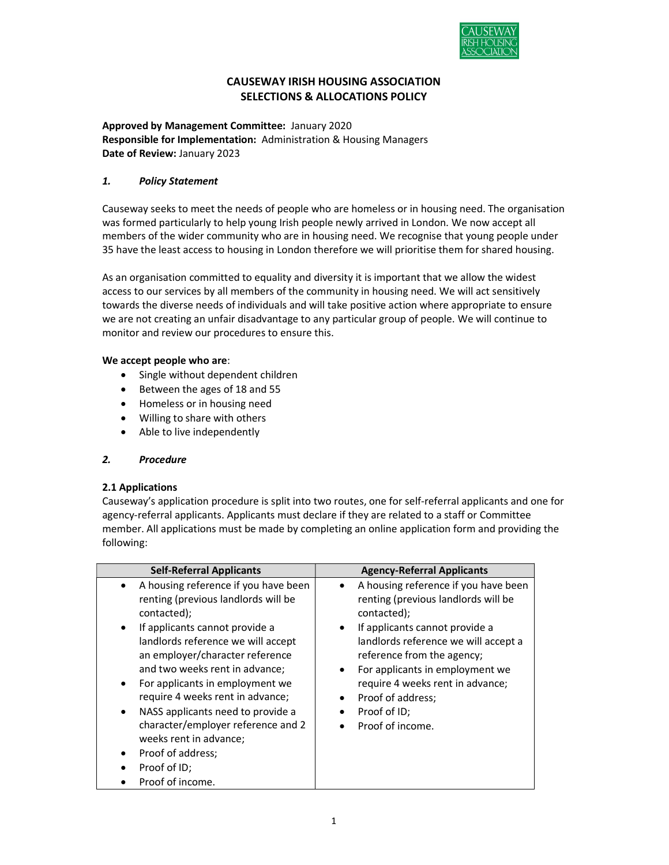

# CAUSEWAY IRISH HOUSING ASSOCIATION SELECTIONS & ALLOCATIONS POLICY

Approved by Management Committee: January 2020 Responsible for Implementation: Administration & Housing Managers Date of Review: January 2023

# 1. Policy Statement

Causeway seeks to meet the needs of people who are homeless or in housing need. The organisation was formed particularly to help young Irish people newly arrived in London. We now accept all members of the wider community who are in housing need. We recognise that young people under 35 have the least access to housing in London therefore we will prioritise them for shared housing.

 As an organisation committed to equality and diversity it is important that we allow the widest access to our services by all members of the community in housing need. We will act sensitively towards the diverse needs of individuals and will take positive action where appropriate to ensure we are not creating an unfair disadvantage to any particular group of people. We will continue to monitor and review our procedures to ensure this.

# We accept people who are:

- Single without dependent children
- Between the ages of 18 and 55
- Homeless or in housing need
- Willing to share with others
- Able to live independently

## 2. Procedure

## 2.1 Applications

 Causeway's application procedure is split into two routes, one for self-referral applicants and one for agency-referral applicants. Applicants must declare if they are related to a staff or Committee member. All applications must be made by completing an online application form and providing the following:

| <b>Self-Referral Applicants</b>                                                                                                                                                                                                                                                                                                                                                                                                                                                                                                       | <b>Agency-Referral Applicants</b>                                                                                                                                                                                                                                                                                                                                                      |
|---------------------------------------------------------------------------------------------------------------------------------------------------------------------------------------------------------------------------------------------------------------------------------------------------------------------------------------------------------------------------------------------------------------------------------------------------------------------------------------------------------------------------------------|----------------------------------------------------------------------------------------------------------------------------------------------------------------------------------------------------------------------------------------------------------------------------------------------------------------------------------------------------------------------------------------|
| A housing reference if you have been<br>renting (previous landlords will be<br>contacted);<br>If applicants cannot provide a<br>$\bullet$<br>landlords reference we will accept<br>an employer/character reference<br>and two weeks rent in advance;<br>For applicants in employment we<br>$\bullet$<br>require 4 weeks rent in advance;<br>NASS applicants need to provide a<br>$\bullet$<br>character/employer reference and 2<br>weeks rent in advance;<br>Proof of address;<br>$\bullet$<br>Proof of ID;<br>٠<br>Proof of income. | A housing reference if you have been<br>renting (previous landlords will be<br>contacted);<br>If applicants cannot provide a<br>$\bullet$<br>landlords reference we will accept a<br>reference from the agency;<br>For applicants in employment we<br>$\bullet$<br>require 4 weeks rent in advance;<br>Proof of address;<br>$\bullet$<br>Proof of ID;<br>$\bullet$<br>Proof of income. |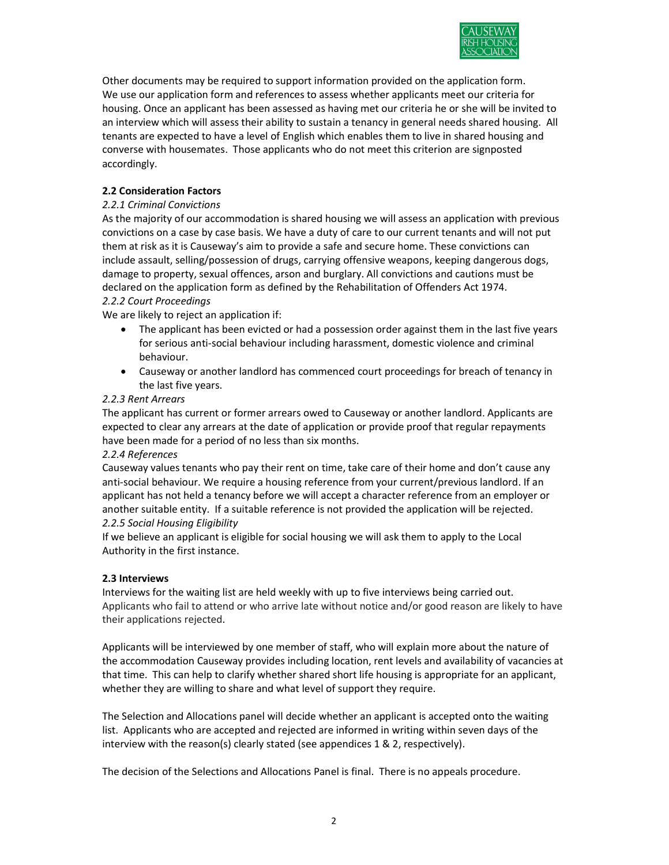

 Other documents may be required to support information provided on the application form. We use our application form and references to assess whether applicants meet our criteria for housing. Once an applicant has been assessed as having met our criteria he or she will be invited to an interview which will assess their ability to sustain a tenancy in general needs shared housing. All tenants are expected to have a level of English which enables them to live in shared housing and converse with housemates. Those applicants who do not meet this criterion are signposted accordingly.

# 2.2 Consideration Factors

# 2.2.1 Criminal Convictions

As the majority of our accommodation is shared housing we will assess an application with previous convictions on a case by case basis. We have a duty of care to our current tenants and will not put them at risk as it is Causeway's aim to provide a safe and secure home. These convictions can include assault, selling/possession of drugs, carrying offensive weapons, keeping dangerous dogs, damage to property, sexual offences, arson and burglary. All convictions and cautions must be declared on the application form as defined by the Rehabilitation of Offenders Act 1974. 2.2.2 Court Proceedings

We are likely to reject an application if:

- The applicant has been evicted or had a possession order against them in the last five years for serious anti-social behaviour including harassment, domestic violence and criminal behaviour.
- Causeway or another landlord has commenced court proceedings for breach of tenancy in the last five years.

## 2.2.3 Rent Arrears

The applicant has current or former arrears owed to Causeway or another landlord. Applicants are expected to clear any arrears at the date of application or provide proof that regular repayments have been made for a period of no less than six months.

## 2.2.4 References

Causeway values tenants who pay their rent on time, take care of their home and don't cause any anti-social behaviour. We require a housing reference from your current/previous landlord. If an applicant has not held a tenancy before we will accept a character reference from an employer or another suitable entity. If a suitable reference is not provided the application will be rejected. 2.2.5 Social Housing Eligibility

If we believe an applicant is eligible for social housing we will ask them to apply to the Local Authority in the first instance.

## 2.3 Interviews

Interviews for the waiting list are held weekly with up to five interviews being carried out. Applicants who fail to attend or who arrive late without notice and/or good reason are likely to have their applications rejected.

Applicants will be interviewed by one member of staff, who will explain more about the nature of the accommodation Causeway provides including location, rent levels and availability of vacancies at that time. This can help to clarify whether shared short life housing is appropriate for an applicant, whether they are willing to share and what level of support they require.

The Selection and Allocations panel will decide whether an applicant is accepted onto the waiting list. Applicants who are accepted and rejected are informed in writing within seven days of the interview with the reason(s) clearly stated (see appendices 1 & 2, respectively).

The decision of the Selections and Allocations Panel is final. There is no appeals procedure.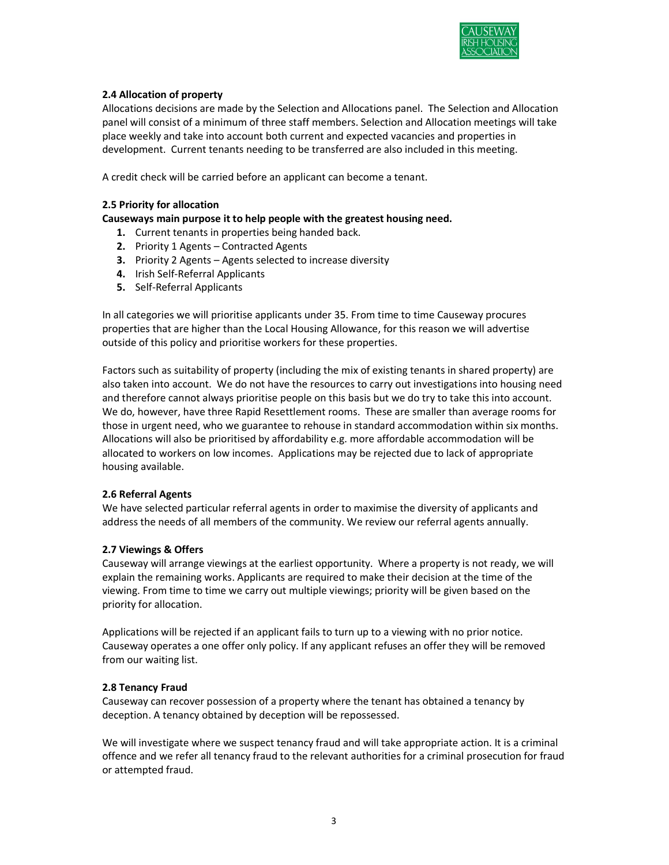

# 2.4 Allocation of property

 Allocations decisions are made by the Selection and Allocations panel. The Selection and Allocation panel will consist of a minimum of three staff members. Selection and Allocation meetings will take place weekly and take into account both current and expected vacancies and properties in development. Current tenants needing to be transferred are also included in this meeting.

A credit check will be carried before an applicant can become a tenant.

# 2.5 Priority for allocation

# Causeways main purpose it to help people with the greatest housing need.

- 1. Current tenants in properties being handed back.
- 2. Priority 1 Agents Contracted Agents
- 3. Priority 2 Agents Agents selected to increase diversity
- 4. Irish Self-Referral Applicants
- 5. Self-Referral Applicants

In all categories we will prioritise applicants under 35. From time to time Causeway procures properties that are higher than the Local Housing Allowance, for this reason we will advertise outside of this policy and prioritise workers for these properties.

Factors such as suitability of property (including the mix of existing tenants in shared property) are also taken into account. We do not have the resources to carry out investigations into housing need and therefore cannot always prioritise people on this basis but we do try to take this into account. We do, however, have three Rapid Resettlement rooms. These are smaller than average rooms for those in urgent need, who we guarantee to rehouse in standard accommodation within six months. Allocations will also be prioritised by affordability e.g. more affordable accommodation will be allocated to workers on low incomes. Applications may be rejected due to lack of appropriate housing available.

## 2.6 Referral Agents

We have selected particular referral agents in order to maximise the diversity of applicants and address the needs of all members of the community. We review our referral agents annually.

## 2.7 Viewings & Offers

Causeway will arrange viewings at the earliest opportunity. Where a property is not ready, we will explain the remaining works. Applicants are required to make their decision at the time of the viewing. From time to time we carry out multiple viewings; priority will be given based on the priority for allocation.

Applications will be rejected if an applicant fails to turn up to a viewing with no prior notice. Causeway operates a one offer only policy. If any applicant refuses an offer they will be removed from our waiting list.

## 2.8 Tenancy Fraud

Causeway can recover possession of a property where the tenant has obtained a tenancy by deception. A tenancy obtained by deception will be repossessed.

We will investigate where we suspect tenancy fraud and will take appropriate action. It is a criminal offence and we refer all tenancy fraud to the relevant authorities for a criminal prosecution for fraud or attempted fraud.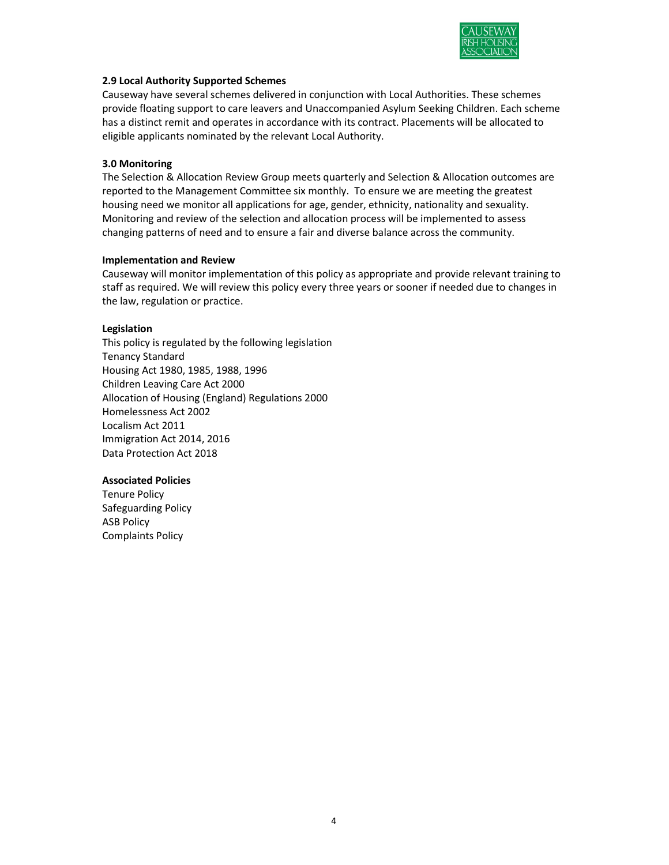

# 2.9 Local Authority Supported Schemes

Causeway have several schemes delivered in conjunction with Local Authorities. These schemes provide floating support to care leavers and Unaccompanied Asylum Seeking Children. Each scheme has a distinct remit and operates in accordance with its contract. Placements will be allocated to eligible applicants nominated by the relevant Local Authority.

# 3.0 Monitoring

The Selection & Allocation Review Group meets quarterly and Selection & Allocation outcomes are reported to the Management Committee six monthly. To ensure we are meeting the greatest housing need we monitor all applications for age, gender, ethnicity, nationality and sexuality. Monitoring and review of the selection and allocation process will be implemented to assess changing patterns of need and to ensure a fair and diverse balance across the community.

## Implementation and Review

Causeway will monitor implementation of this policy as appropriate and provide relevant training to staff as required. We will review this policy every three years or sooner if needed due to changes in the law, regulation or practice.

# Legislation

This policy is regulated by the following legislation Tenancy Standard Housing Act 1980, 1985, 1988, 1996 Children Leaving Care Act 2000 Allocation of Housing (England) Regulations 2000 Homelessness Act 2002 Localism Act 2011 Immigration Act 2014, 2016 Data Protection Act 2018

# Associated Policies

Tenure Policy Safeguarding Policy ASB Policy Complaints Policy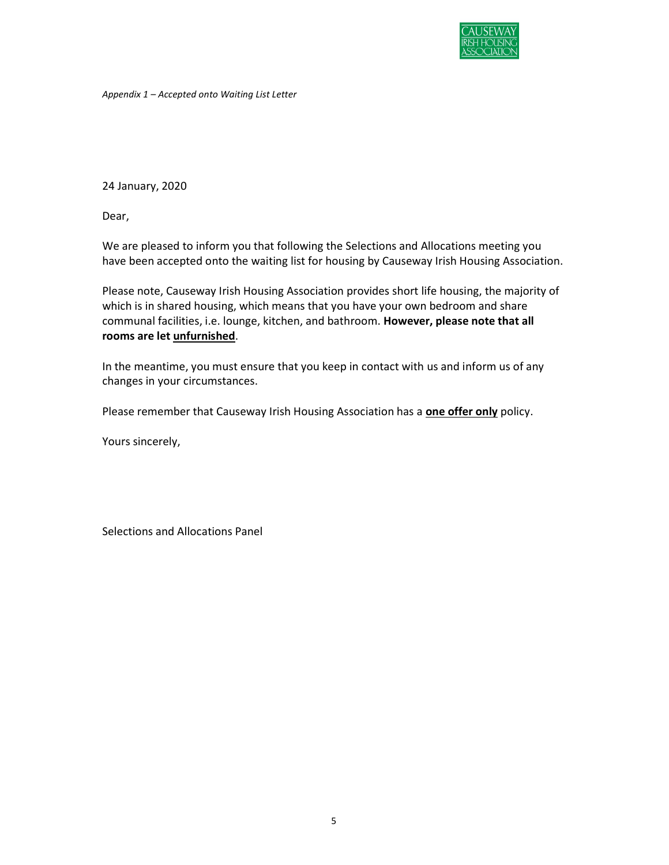

Appendix 1 – Accepted onto Waiting List Letter

24 January, 2020

Dear,

We are pleased to inform you that following the Selections and Allocations meeting you have been accepted onto the waiting list for housing by Causeway Irish Housing Association.

Please note, Causeway Irish Housing Association provides short life housing, the majority of which is in shared housing, which means that you have your own bedroom and share communal facilities, i.e. lounge, kitchen, and bathroom. However, please note that all rooms are let unfurnished.

In the meantime, you must ensure that you keep in contact with us and inform us of any changes in your circumstances.

Please remember that Causeway Irish Housing Association has a **one offer only** policy.

Yours sincerely,

Selections and Allocations Panel